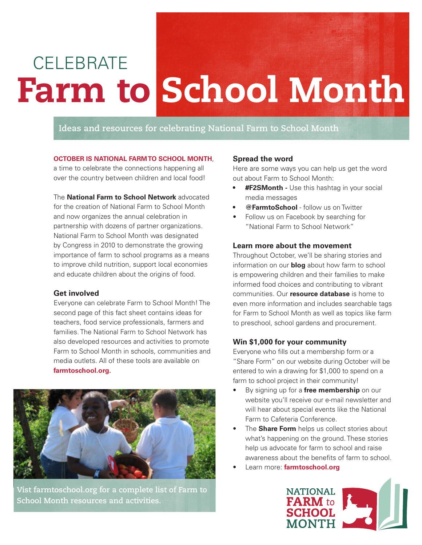# Farm to School Month **CELEBRATE**

# **Ideas and resources for celebrating National Farm to School Month**

#### **OCTOBER IS NATIONAL FARM TO SCHOOL MONTH**,

a time to celebrate the connections happening all over the country between children and local food!

# The **National Farm to School Network** advocated

for the creation of National Farm to School Month and now organizes the annual celebration in partnership with dozens of partner organizations. National Farm to School Month was designated by Congress in 2010 to demonstrate the growing importance of farm to school programs as a means to improve child nutrition, support local economies and educate children about the origins of food.

#### **Get involved**

Everyone can celebrate Farm to School Month! The second page of this fact sheet contains ideas for teachers, food service professionals, farmers and families. The National Farm to School Network has also developed resources and activities to promote Farm to School Month in schools, communities and media outlets. All of these tools are available on **farmtoschool.org.**



**Vist farmtoschool.org for a complete list of Farm to School Month resources and activities.**

# **Spread the word**

Here are some ways you can help us get the word out about Farm to School Month:

- **#F2SMonth -** Use this hashtag in your social media messages
- **• @FarmtoSchool** follow us on Twitter
- Follow us on Facebook by searching for "National Farm to School Network"

#### **Learn more about the movement**

Throughout October, we'll be sharing stories and information on our **blog** about how farm to school is empowering children and their families to make informed food choices and contributing to vibrant communities. Our **resource database** is home to even more information and includes searchable tags for Farm to School Month as well as topics like farm to preschool, school gardens and procurement.

#### **Win \$1,000 for your community**

Everyone who fills out a membership form or a "Share Form" on our website during October will be entered to win a drawing for \$1,000 to spend on a farm to school project in their community!

- By signing up for a **free membership** on our website you'll receive our e-mail newsletter and will hear about special events like the National Farm to Cafeteria Conference.
- The **Share Form** helps us collect stories about what's happening on the ground. These stories help us advocate for farm to school and raise awareness about the benefits of farm to school.
- Learn more: **farmtoschool.org**